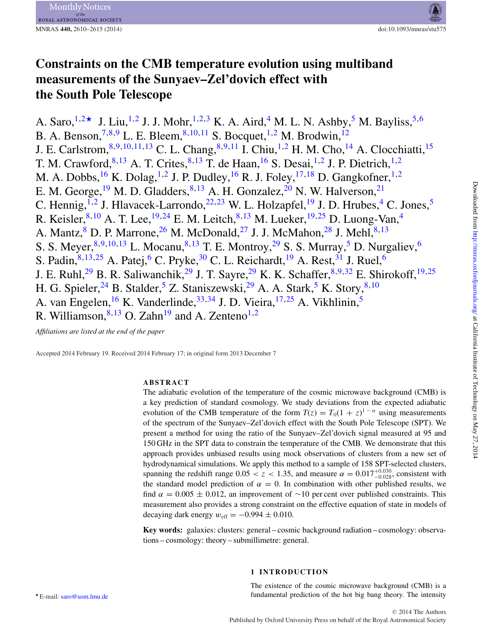# **Constraints on the CMB temperature evolution using multiband measurements of the Sunyaev–Zel'dovich effect with the South Pole Telescope**

A. Saro,  $1.2\star$  $1.2\star$  $1.2\star$  J. Liu,  $1.2$  J. J. Mohr,  $1.2.3$  $1.2.3$  K. A. Aird,  $4$  M. L. N. Ashby,  $5$  M. Bayliss,  $5.6$  $5.6$ B. A. Benson,  $^{7,8,9}$  $^{7,8,9}$  $^{7,8,9}$  $^{7,8,9}$  $^{7,8,9}$  L. E. Bleem,  $^{8,10,11}$  $^{8,10,11}$  $^{8,10,11}$  $^{8,10,11}$  $^{8,10,11}$  S. Bocquet,  $^{1,2}$  $^{1,2}$  $^{1,2}$  $^{1,2}$  M. Brodwin,  $^{12}$  $^{12}$  $^{12}$ J. E. Carlstrom, <sup>[8,](#page-5-7) [9,](#page-5-8) [10,](#page-5-9) [11,](#page-5-10) [13](#page-5-12)</sup> C. L. Chang, <sup>[8](#page-5-7), 9, [11](#page-5-10)</sup> I. Chiu, <sup>[1,](#page-5-0) [2](#page-5-1)</sup> H. M. Cho, <sup>[14](#page-5-13)</sup> A. Clocchiatti, <sup>[15](#page-5-14)</sup> T. M. Crawford,  $8,13$  $8,13$  A. T. Crites,  $8,13$  $8,13$  $8,13$  T. de Haan,  $16$  S. Desai,  $1,2$  $1,2$  J. P. Dietrich,  $1,2$  $1,2$ M. A. Dobbs,  $^{16}$  $^{16}$  $^{16}$  K. Dolag,  $^{1,2}$  $^{1,2}$  $^{1,2}$  J. P. Dudley,  $^{16}$  R. J. Foley,  $^{17,18}$  $^{17,18}$  $^{17,18}$  $^{17,18}$  D. Gangkofner,  $^{1,2}$ E. M. George, <sup>19</sup> M. D. Gladders, <sup>8, 13</sup> A. H. Gonzalez, <sup>20</sup> N. W. Halverson, <sup>21</sup> C. Hennig, <sup>[1,](#page-5-0)[2](#page-5-1)</sup> J. Hlavacek-Larrondo, <sup>22, [23](#page-5-22)</sup> W. L. Holzapfel, <sup>[19](#page-5-18)</sup> J. D. Hrubes, <sup>4</sup> C. Jones, <sup>[5](#page-5-4)</sup> R. Keisler,  $8,10$  $8,10$  A. T. Lee,  $19,24$  $19,24$  E. M. Leitch,  $8,13$  $8,13$  M. Lueker,  $19,25$  $19,25$  D. Luong-Van,  $4$ A. Mantz,  $8$  D. P. Marrone,  $26$  M. McDonald,  $27$  J. J. McMahon,  $28$  J. Mehl,  $8,13$  $8,13$ S. S. Meyer,  $8,9,10,13$  $8,9,10,13$  $8,9,10,13$  $8,9,10,13$  L. Mocanu,  $8,13$  T. E. Montroy,  $29$  S. S. Murray,  $5$  D. Nurgaliev,  $6$ S. Padin,  $8,13,25$  $8,13,25$  $8,13,25$  A. Patej,  $6$  C. Pryke,  $30$  C. L. Reichardt,  $19$  A. Rest,  $31$  J. Ruel,  $6$ J. E. Ruhl,<sup>[29](#page-5-28)</sup> B. R. Saliwanchik,<sup>2[9](#page-5-8)</sup> J. T. Sayre,<sup>29</sup> K. K. Schaffer,<sup>8,9[,32](#page-5-31)</sup> E. Shirokoff,<sup>[19,](#page-5-18)[25](#page-5-24)</sup> H. G. Spieler,  $^{24}$  B. Stalder,  $^{5}$  $^{5}$  $^{5}$  Z. Staniszewski,  $^{29}$  $^{29}$  $^{29}$  A. A. Stark,  $^{5}$  K. Story,  $^{8,10}$  $^{8,10}$  $^{8,10}$ A. van Engelen,<sup>16</sup> K. Vanderlinde,<sup>[33,](#page-5-32)[34](#page-5-33)</sup> J. D. Vieira,<sup>17,[25](#page-5-24)</sup> A. Vikhlinin,<sup>[5](#page-5-4)</sup> R. Williamson,  $8,13$  $8,13$  O. Zahn<sup>19</sup> and A. Zenteno<sup>1,[2](#page-5-1)</sup>

*Affiliations are listed at the end of the paper*

Accepted 2014 February 19. Received 2014 February 17; in original form 2013 December 7

# **ABSTRACT**

The adiabatic evolution of the temperature of the cosmic microwave background (CMB) is a key prediction of standard cosmology. We study deviations from the expected adiabatic evolution of the CMB temperature of the form  $T(z) = T_0(1 + z)^{1-\alpha}$  using measurements of the spectrum of the Sunyaev–Zel'dovich effect with the South Pole Telescope (SPT). We present a method for using the ratio of the Sunyaev–Zel'dovich signal measured at 95 and 150 GHz in the SPT data to constrain the temperature of the CMB. We demonstrate that this approach provides unbiased results using mock observations of clusters from a new set of hydrodynamical simulations. We apply this method to a sample of 158 SPT-selected clusters, spanning the redshift range  $0.05 < z < 1.35$ , and measure  $\alpha = 0.017^{+0.030}_{-0.028}$ , consistent with the standard model prediction of  $\alpha = 0$ . In combination with other published results, we find  $\alpha = 0.005 \pm 0.012$ , an improvement of ~10 per cent over published constraints. This measurement also provides a strong constraint on the effective equation of state in models of decaying dark energy  $w_{\text{eff}} = -0.994 \pm 0.010$ .

<span id="page-0-0"></span>**Key words:** galaxies: clusters: general – cosmic background radiation – cosmology: observations – cosmology: theory – submillimetre: general.

# **1 INTRODUCTION**

The existence of the cosmic microwave background (CMB) is a fundamental prediction of the hot big bang theory. The intensity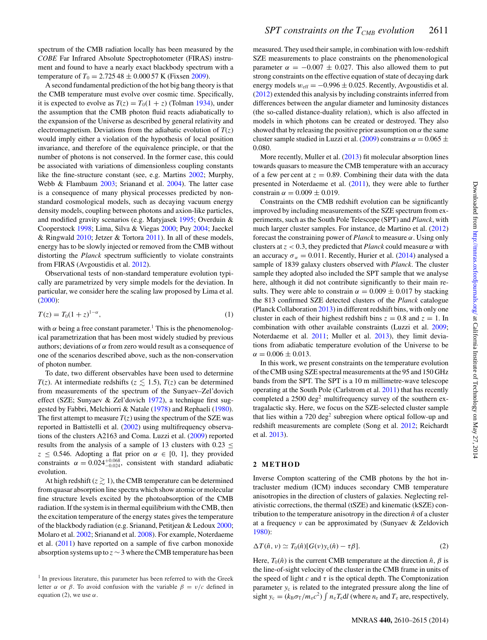spectrum of the CMB radiation locally has been measured by the *COBE* Far Infrared Absolute Spectrophotometer (FIRAS) instrument and found to have a nearly exact blackbody spectrum with a temperature of  $T_0 = 2.72548 \pm 0.00057$  K (Fixsen [2009\)](#page-4-0).

A second fundamental prediction of the hot big bang theory is that the CMB temperature must evolve over cosmic time. Specifically, it is expected to evolve as  $T(z) = T_0(1 + z)$  (Tolman [1934\)](#page-5-34), under the assumption that the CMB photon fluid reacts adiabatically to the expansion of the Universe as described by general relativity and electromagnetism. Deviations from the adiabatic evolution of  $T(z)$ would imply either a violation of the hypothesis of local position invariance, and therefore of the equivalence principle, or that the number of photons is not conserved. In the former case, this could be associated with variations of dimensionless coupling constants like the fine-structure constant (see, e.g. Martins [2002;](#page-5-35) Murphy, Webb & Flambaum [2003;](#page-5-36) Srianand et al. [2004\)](#page-5-37). The latter case is a consequence of many physical processes predicted by nonstandard cosmological models, such as decaying vacuum energy density models, coupling between photons and axion-like particles, and modified gravity scenarios (e.g. Matyjasek [1995;](#page-5-38) Overduin & Cooperstock [1998;](#page-5-39) Lima, Silva & Viegas [2000;](#page-5-40) Puy [2004;](#page-5-41) Jaeckel & Ringwald [2010;](#page-5-42) Jetzer & Tortora [2011\)](#page-5-43). In all of these models, energy has to be slowly injected or removed from the CMB without distorting the *Planck* spectrum sufficiently to violate constraints from FIRAS (Avgoustidis et al. [2012\)](#page-4-1).

Observational tests of non-standard temperature evolution typically are parametrized by very simple models for the deviation. In particular, we consider here the scaling law proposed by Lima et al. [\(2000\)](#page-5-40):

$$
T(z) = T_0(1+z)^{1-\alpha},
$$
 (1)

with  $\alpha$  being a free constant parameter.<sup>1</sup> This is the phenomenological parametrization that has been most widely studied by previous authors; deviations of *α* from zero would result as a consequence of one of the scenarios described above, such as the non-conservation of photon number.

To date, two different observables have been used to determine *T*(*z*). At intermediate redshifts ( $z \lesssim 1.5$ ), *T*(*z*) can be determined from measurements of the spectrum of the Sunyaev–Zel'dovich effect (SZE; Sunyaev & Zel'dovich [1972\)](#page-5-44), a technique first suggested by Fabbri, Melchiorri & Natale [\(1978\)](#page-4-2) and Rephaeli [\(1980\)](#page-5-45). The first attempt to measure  $T(z)$  using the spectrum of the SZE was reported in Battistelli et al. [\(2002\)](#page-4-3) using multifrequency observations of the clusters A2163 and Coma. Luzzi et al. [\(2009\)](#page-5-46) reported results from the analysis of a sample of 13 clusters with  $0.23 \le$  $z \leq 0.546$ . Adopting a flat prior on  $\alpha \in [0, 1]$ , they provided constraints  $\alpha = 0.024^{+0.068}_{-0.024}$ , consistent with standard adiabatic evolution.

At high redshift  $(z \ge 1)$ , the CMB temperature can be determined from quasar absorption line spectra which show atomic or molecular fine structure levels excited by the photoabsorption of the CMB radiation. If the system is in thermal equilibrium with the CMB, then the excitation temperature of the energy states gives the temperature of the blackbody radiation (e.g. Srianand, Petitjean & Ledoux [2000;](#page-5-47) Molaro et al. [2002;](#page-5-48) Srianand et al. [2008\)](#page-5-49). For example, Noterdaeme et al. [\(2011\)](#page-5-50) have reported on a sample of five carbon monoxide absorption systems up to *z* ∼ 3 where the CMB temperature has been measured. They used their sample, in combination with low-redshift SZE measurements to place constraints on the phenomenological parameter  $\alpha = -0.007 \pm 0.027$ . This also allowed them to put strong constraints on the effective equation of state of decaying dark energy models  $w_{\text{eff}} = -0.996 \pm 0.025$ . Recently, Avgoustidis et al. [\(2012\)](#page-4-1) extended this analysis by including constraints inferred from differences between the angular diameter and luminosity distances (the so-called distance-duality relation), which is also affected in models in which photons can be created or destroyed. They also showed that by releasing the positive prior assumption on  $\alpha$  the same cluster sample studied in Luzzi et al. [\(2009\)](#page-5-46) constrains  $\alpha = 0.065 \pm$ 0.080.

More recently, Muller et al. [\(2013\)](#page-5-51) fit molecular absorption lines towards quasars to measure the CMB temperature with an accuracy of a few per cent at  $z = 0.89$ . Combining their data with the data presented in Noterdaeme et al. [\(2011\)](#page-5-50), they were able to further constrain  $\alpha = 0.009 \pm 0.019$ .

Constraints on the CMB redshift evolution can be significantly improved by including measurements of the SZE spectrum from experiments, such as the South Pole Telescope (SPT) and *Planck*, with much larger cluster samples. For instance, de Martino et al. [\(2012\)](#page-4-4) forecast the constraining power of *Planck* to measure *α*. Using only clusters at *z <* 0.3, they predicted that *Planck* could measure *α* with an accuracy  $\sigma_{\alpha} = 0.011$ . Recently, Hurier et al. [\(2014\)](#page-5-52) analysed a sample of 1839 galaxy clusters observed with *Planck*. The cluster sample they adopted also included the SPT sample that we analyse here, although it did not contribute significantly to their main results. They were able to constrain  $\alpha = 0.009 \pm 0.017$  by stacking the 813 confirmed SZE detected clusters of the *Planck* catalogue (Planck Collaboration [2013\)](#page-5-53) in different redshift bins, with only one cluster in each of their highest redshift bins  $z = 0.8$  and  $z = 1$ . In combination with other available constraints (Luzzi et al. [2009;](#page-5-46) Noterdaeme et al. [2011;](#page-5-50) Muller et al. [2013\)](#page-5-51), they limit deviations from adiabatic temperature evolution of the Universe to be  $\alpha = 0.006 \pm 0.013$ .

In this work, we present constraints on the temperature evolution of the CMB using SZE spectral measurements at the 95 and 150 GHz bands from the SPT. The SPT is a 10 m millimetre-wave telescope operating at the South Pole (Carlstrom et al. [2011\)](#page-4-5) that has recently completed a  $2500 \text{ deg}^2$  multifrequency survey of the southern extragalactic sky. Here, we focus on the SZE-selected cluster sample that lies within a  $720 \text{ deg}^2$  subregion where optical follow-up and redshift measurements are complete (Song et al. [2012;](#page-5-54) Reichardt et al. [2013\)](#page-5-55).

#### **2 METHOD**

Inverse Compton scattering of the CMB photons by the hot intracluster medium (ICM) induces secondary CMB temperature anisotropies in the direction of clusters of galaxies. Neglecting relativistic corrections, the thermal (tSZE) and kinematic (kSZE) contribution to the temperature anisotropy in the direction  $\hat{n}$  of a cluster at a frequency *ν* can be approximated by (Sunyaev & Zeldovich [1980\)](#page-5-56):

$$
\Delta T(\hat{n}, \nu) \simeq T_0(\hat{n}) [G(\nu) y_c(\hat{n}) - \tau \beta]. \tag{2}
$$

Here,  $T_0(\hat{n})$  is the current CMB temperature at the direction  $\hat{n}$ ,  $\beta$  is the line-of-sight velocity of the cluster in the CMB frame in units of the speed of light  $c$  and  $\tau$  is the optical depth. The Comptonization parameter  $y_c$  is related to the integrated pressure along the line of sight  $y_c = (k_B \sigma_T/m_e c^2) \int n_e T_e dl$  (where  $n_e$  and  $T_e$  are, respectively,

 $<sup>1</sup>$  In previous literature, this parameter has been referred to with the Greek</sup> letter *α* or *β*. To avoid confusion with the variable *β* = *v/c* defined in equation (2), we use  $\alpha$ .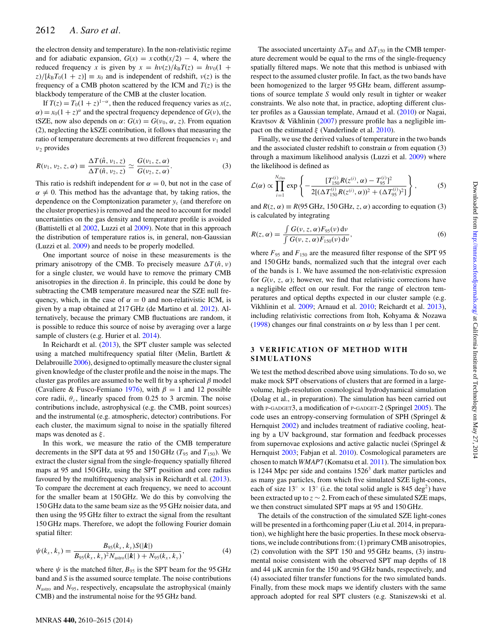the electron density and temperature). In the non-relativistic regime and for adiabatic expansion,  $G(x) = x \coth(x/2) - 4$ , where the reduced frequency *x* is given by  $x = h\nu(z)/k_BT(z) = h\nu_0(1 +$  $z$ )/[ $k_B T_0(1 + z)$ ]  $\equiv x_0$  and is independent of redshift,  $v(z)$  is the frequency of a CMB photon scattered by the ICM and  $T(z)$  is the blackbody temperature of the CMB at the cluster location.

If  $T(z) = T_0(1 + z)^{1-\alpha}$ , then the reduced frequency varies as *x*(*z*,  $\alpha$ ) = *x*<sub>0</sub>(1 + *z*)<sup> $\alpha$ </sup> and the spectral frequency dependence of *G*(*v*), the tSZE, now also depends on *α*:  $G(x) = G(v_0, \alpha, z)$ . From equation (2), neglecting the kSZE contribution, it follows that measuring the ratio of temperature decrements at two different frequencies *ν*<sup>1</sup> and *ν*<sup>2</sup> provides

$$
R(\nu_1, \nu_2, z, \alpha) \equiv \frac{\Delta T(\hat{n}, \nu_1, z)}{\Delta T(\hat{n}, \nu_2, z)} \simeq \frac{G(\nu_1, z, \alpha)}{G(\nu_2, z, \alpha)}.
$$
(3)

This ratio is redshift independent for  $\alpha = 0$ , but not in the case of  $\alpha \neq 0$ . This method has the advantage that, by taking ratios, the dependence on the Comptonization parameter  $y_c$  (and therefore on the cluster properties) is removed and the need to account for model uncertainties on the gas density and temperature profile is avoided (Battistelli et al [2002,](#page-4-3) Luzzi et al [2009\)](#page-5-46). Note that in this approach the distribution of temperature ratios is, in general, non-Gaussian (Luzzi et al. [2009\)](#page-5-46) and needs to be properly modelled.

One important source of noise in these measurements is the primary anisotropy of the CMB. To precisely measure  $\Delta T(\hat{n}, v)$ for a single cluster, we would have to remove the primary CMB anisotropies in the direction  $\hat{n}$ . In principle, this could be done by subtracting the CMB temperature measured near the SZE null frequency, which, in the case of  $\alpha = 0$  and non-relativistic ICM, is given by a map obtained at 217 GHz (de Martino et al. [2012\)](#page-4-4). Alternatively, because the primary CMB fluctuations are random, it is possible to reduce this source of noise by averaging over a large sample of clusters (e.g. Hurier et al. [2014\)](#page-5-52).

In Reichardt et al. [\(2013\)](#page-5-55), the SPT cluster sample was selected using a matched multifrequency spatial filter (Melin, Bartlett & Delabrouille [2006\)](#page-5-57), designed to optimally measure the cluster signal given knowledge of the cluster profile and the noise in the maps. The cluster gas profiles are assumed to be well fit by a spherical *β* model (Cavaliere & Fusco-Femiano [1976\)](#page-4-6), with  $\beta = 1$  and 12 possible core radii,  $\theta_c$ , linearly spaced from 0.25 to 3 arcmin. The noise contributions include, astrophysical (e.g. the CMB, point sources) and the instrumental (e.g. atmospheric, detector) contributions. For each cluster, the maximum signal to noise in the spatially filtered maps was denoted as *ξ* .

In this work, we measure the ratio of the CMB temperature decrements in the SPT data at 95 and 150 GHz ( $T_{95}$  and  $T_{150}$ ). We extract the cluster signal from the single-frequency spatially filtered maps at 95 and 150 GHz, using the SPT position and core radius favoured by the multifrequency analysis in Reichardt et al. [\(2013\)](#page-5-55). To compare the decrement at each frequency, we need to account for the smaller beam at 150 GHz. We do this by convolving the 150 GHz data to the same beam size as the 95 GHz noisier data, and then using the 95 GHz filter to extract the signal from the resultant 150 GHz maps. Therefore, we adopt the following Fourier domain spatial filter:

$$
\psi(k_x, k_y) = \frac{B_{95}(k_x, k_y)S(|k|)}{B_{95}(k_x, k_y)^2 N_{\text{astro}}(|k|) + N_{95}(k_x, k_y)},\tag{4}
$$

where  $\psi$  is the matched filter,  $B_{95}$  is the SPT beam for the 95 GHz band and *S* is the assumed source template. The noise contributions *N*astro and *N*95, respectively, encapsulate the astrophysical (mainly CMB) and the instrumental noise for the 95 GHz band.

The associated uncertainty  $\Delta T_{95}$  and  $\Delta T_{150}$  in the CMB temperature decrement would be equal to the rms of the single-frequency spatially filtered maps. We note that this method is unbiased with respect to the assumed cluster profile. In fact, as the two bands have been homogenized to the larger 95 GHz beam, different assumptions of source template *S* would only result in tighter or weaker constraints. We also note that, in practice, adopting different cluster profiles as a Gaussian template, Arnaud et al. [\(2010\)](#page-4-7) or Nagai, Kravtsov & Vikhlinin [\(2007\)](#page-5-58) pressure profile has a negligible impact on the estimated *ξ* (Vanderlinde et al. [2010\)](#page-5-59).

Finally, we use the derived values of temperature in the two bands and the associated cluster redshift to constrain  $\alpha$  from equation (3) through a maximum likelihood analysis (Luzzi et al. [2009\)](#page-5-46) where the likelihood is defined as

$$
\mathcal{L}(\alpha) \propto \prod_{i=1}^{N_{\text{clus}}} \exp \left\{ -\frac{[T_{150}^{(i)} R(z^{(i)}, \alpha) - T_{95}^{(i)}]^2}{2[(\Delta T_{150}^{(i)} R(z^{(i)}, \alpha))^2 + (\Delta T_{95}^{(i)})^2]} \right\},
$$
(5)

and  $R(z, \alpha) \equiv R(95 \text{ GHz}, 150 \text{ GHz}, z, \alpha)$  according to equation (3) is calculated by integrating

$$
R(z, \alpha) = \frac{\int G(v, z, \alpha) F_{95}(v) dv}{\int G(v, z, \alpha) F_{150}(v) dv},
$$
\n(6)

where  $F_{95}$  and  $F_{150}$  are the measured filter response of the SPT 95 and 150 GHz bands, normalized such that the integral over each of the bands is 1. We have assumed the non-relativistic expression for  $G(\nu, z, \alpha)$ ; however, we find that relativistic corrections have a negligible effect on our result. For the range of electron temperatures and optical depths expected in our cluster sample (e.g. Vikhlinin et al. [2009;](#page-5-60) Arnaud et al. [2010;](#page-4-7) Reichardt et al. [2013\)](#page-5-55), including relativistic corrections from Itoh, Kohyama & Nozawa [\(1998\)](#page-5-61) changes our final constraints on *α* by less than 1 per cent.

#### **3 VERIFICATION OF METHOD WITH SIMULATIONS**

We test the method described above using simulations. To do so, we make mock SPT observations of clusters that are formed in a largevolume, high-resolution cosmological hydrodynamical simulation (Dolag et al., in preparation). The simulation has been carried out with P-GADGET3, a modification of P-GADGET-2 (Springel [2005\)](#page-5-62). The code uses an entropy-conserving formulation of SPH (Springel & Hernquist [2002\)](#page-5-63) and includes treatment of radiative cooling, heating by a UV background, star formation and feedback processes from supernovae explosions and active galactic nuclei (Springel & Hernquist [2003;](#page-5-64) Fabjan et al. [2010\)](#page-4-8). Cosmological parameters are chosen to match *WMAP*7 (Komatsu et al. [2011\)](#page-5-65). The simulation box is 1244 Mpc per side and contains  $1526<sup>3</sup>$  dark matter particles and as many gas particles, from which five simulated SZE light-cones, each of size  $13° \times 13°$  (i.e. the total solid angle is 845 deg<sup>2</sup>) have been extracted up to  $z \sim 2$ . From each of these simulated SZE maps, we then construct simulated SPT maps at 95 and 150 GHz.

The details of the construction of the simulated SZE light-cones will be presented in a forthcoming paper (Liu et al. 2014, in preparation), we highlight here the basic properties. In these mock observations, we include contributions from: (1) primary CMB anisotropies, (2) convolution with the SPT 150 and 95 GHz beams, (3) instrumental noise consistent with the observed SPT map depths of 18 and 44 µK arcmin for the 150 and 95 GHz bands, respectively, and (4) associated filter transfer functions for the two simulated bands. Finally, from these mock maps we identify clusters with the same approach adopted for real SPT clusters (e.g. Staniszewski et al.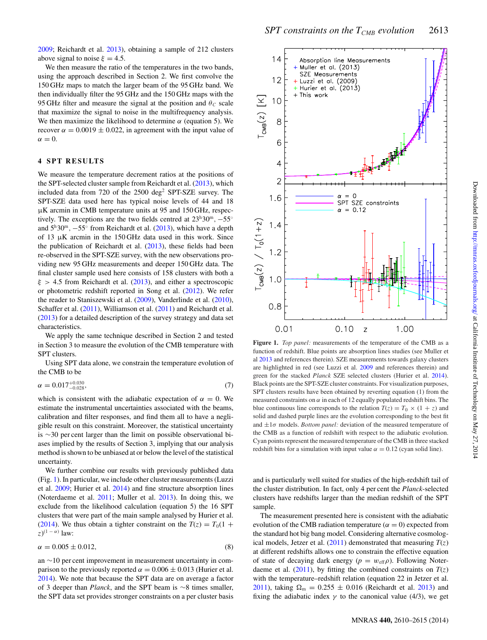[2009;](#page-5-66) Reichardt et al. [2013\)](#page-5-55), obtaining a sample of 212 clusters above signal to noise  $\xi = 4.5$ .

We then measure the ratio of the temperatures in the two bands, using the approach described in Section 2. We first convolve the 150 GHz maps to match the larger beam of the 95 GHz band. We then individually filter the 95 GHz and the 150 GHz maps with the 95 GHz filter and measure the signal at the position and  $\theta_c$  scale that maximize the signal to noise in the multifrequency analysis. We then maximize the likelihood to determine  $\alpha$  (equation 5). We recover  $\alpha = 0.0019 \pm 0.022$ , in agreement with the input value of  $\alpha = 0$ .

#### **4 SPT RESULTS**

We measure the temperature decrement ratios at the positions of the SPT-selected cluster sample from Reichardt et al. [\(2013\)](#page-5-55), which included data from 720 of the  $2500 \text{ deg}^2$  SPT-SZE survey. The SPT-SZE data used here has typical noise levels of 44 and 18 µK arcmin in CMB temperature units at 95 and 150 GHz, respectively. The exceptions are the two fields centred at 23h30m*,* <sup>−</sup>55◦ and 5h30m*,* <sup>−</sup>55◦ from Reichardt et al. [\(2013\)](#page-5-55), which have a depth of 13  $\mu$ K arcmin in the 150 GHz data used in this work. Since the publication of Reichardt et al.  $(2013)$ , these fields had been re-observed in the SPT-SZE survey, with the new observations providing new 95 GHz measurements and deeper 150 GHz data. The final cluster sample used here consists of 158 clusters with both a *ξ >* 4.5 from Reichardt et al. [\(2013\)](#page-5-55), and either a spectroscopic or photometric redshift reported in Song et al. [\(2012\)](#page-5-54). We refer the reader to Staniszewski et al. [\(2009\)](#page-5-66), Vanderlinde et al. [\(2010\)](#page-5-59), Schaffer et al. [\(2011\)](#page-5-68), Williamson et al. (2011) and Reichardt et al. [\(2013\)](#page-5-55) for a detailed description of the survey strategy and data set characteristics.

We apply the same technique described in Section 2 and tested in Section 3 to measure the evolution of the CMB temperature with SPT clusters.

Using SPT data alone, we constrain the temperature evolution of the CMB to be

$$
\alpha = 0.017_{-0.028}^{+0.030},\tag{7}
$$

which is consistent with the adiabatic expectation of  $\alpha = 0$ . We estimate the instrumental uncertainties associated with the beams, calibration and filter responses, and find them all to have a negligible result on this constraint. Moreover, the statistical uncertainty is ∼30 per cent larger than the limit on possible observational biases implied by the results of Section 3, implying that our analysis method is shown to be unbiased at or below the level of the statistical uncertainty.

We further combine our results with previously published data (Fig. [1\)](#page-3-0). In particular, we include other cluster measurements (Luzzi et al. [2009;](#page-5-46) Hurier et al. [2014\)](#page-5-52) and fine structure absorption lines (Noterdaeme et al. [2011;](#page-5-50) Muller et al. [2013\)](#page-5-51). In doing this, we exclude from the likelihood calculation (equation 5) the 16 SPT clusters that were part of the main sample analysed by Hurier et al. [\(2014\)](#page-5-52). We thus obtain a tighter constraint on the  $T(z) = T_0(1 +$ *z*) (1 <sup>−</sup> *<sup>α</sup>*) law:

$$
\alpha = 0.005 \pm 0.012,\tag{8}
$$

an ∼10 per cent improvement in measurement uncertainty in comparison to the previously reported  $\alpha = 0.006 \pm 0.013$  (Hurier et al. [2014\)](#page-5-52). We note that because the SPT data are on average a factor of 3 deeper than *Planck*, and the SPT beam is ∼8 times smaller, the SPT data set provides stronger constraints on a per cluster basis

<span id="page-3-0"></span>

**Figure 1.** *Top panel:* measurements of the temperature of the CMB as a function of redshift. Blue points are absorption lines studies (see Muller et al [2013](#page-5-51) and references therein). SZE measurements towards galaxy clusters are highlighted in red (see Luzzi et al. [2009](#page-5-46) and references therein) and green for the stacked *Planck* SZE selected clusters (Hurier et al. [2014\)](#page-5-52). Black points are the SPT-SZE cluster constraints. For visualization purposes, SPT clusters results have been obtained by reverting equation (1) from the measured constraints on  $\alpha$  in each of 12 equally populated redshift bins. The blue continuous line corresponds to the relation  $T(z) = T_0 \times (1 + z)$  and solid and dashed purple lines are the evolution corresponding to the best fit and  $\pm 1\sigma$  models. *Bottom panel:* deviation of the measured temperature of the CMB as a function of redshift with respect to the adiabatic evolution. Cyan points represent the measured temperature of the CMB in three stacked redshift bins for a simulation with input value  $\alpha = 0.12$  (cyan solid line).

and is particularly well suited for studies of the high-redshift tail of the cluster distribution. In fact, only 4 per cent the *Planck*-selected clusters have redshifts larger than the median redshift of the SPT sample.

The measurement presented here is consistent with the adiabatic evolution of the CMB radiation temperature ( $\alpha = 0$ ) expected from the standard hot big bang model. Considering alternative cosmological models, Jetzer et al.  $(2011)$  demonstrated that measuring  $T(z)$ at different redshifts allows one to constrain the effective equation of state of decaying dark energy ( $p = w_{\text{eff}}\rho$ ). Following Noterdaeme et al.  $(2011)$ , by fitting the combined constraints on  $T(z)$ with the temperature–redshift relation (equation 22 in Jetzer et al. [2011\)](#page-5-69), taking  $\Omega_{\rm m} = 0.255 \pm 0.016$  (Reichardt et al. [2013\)](#page-5-55) and fixing the adiabatic index  $\gamma$  to the canonical value (4/3), we get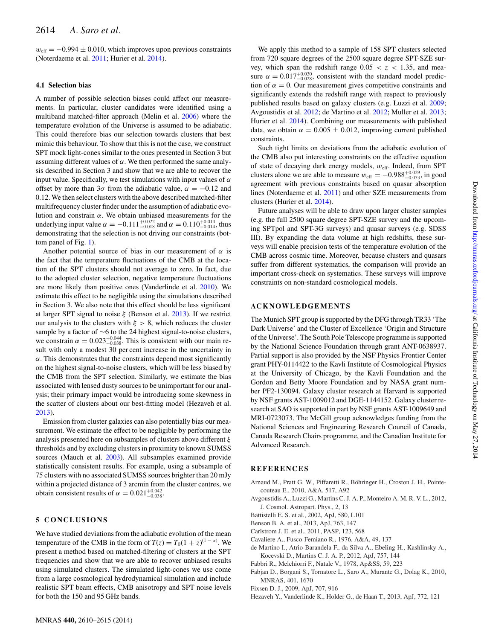$w_{\text{eff}} = -0.994 \pm 0.010$ , which improves upon previous constraints (Noterdaeme et al. [2011;](#page-5-50) Hurier et al. [2014\)](#page-5-52).

## **4.1 Selection bias**

A number of possible selection biases could affect our measurements. In particular, cluster candidates were identified using a multiband matched-filter approach (Melin et al. [2006\)](#page-5-57) where the temperature evolution of the Universe is assumed to be adiabatic. This could therefore bias our selection towards clusters that best mimic this behaviour. To show that this is not the case, we construct SPT mock light-cones similar to the ones presented in Section 3 but assuming different values of *α*. We then performed the same analysis described in Section 3 and show that we are able to recover the input value. Specifically, we test simulations with input values of  $\alpha$ offset by more than  $3\sigma$  from the adiabatic value,  $\alpha = -0.12$  and 0.12. We then select clusters with the above described matched-filter multifrequency cluster finder under the assumption of adiabatic evolution and constrain *α*. We obtain unbiased measurements for the underlying input value *α* = −0.111<sup>+0.022</sup> and *α* = 0.110<sup>+0.014</sup>, thus demonstrating that the selection is not driving our constraints (bottom panel of Fig. [1\)](#page-3-0).

Another potential source of bias in our measurement of *α* is the fact that the temperature fluctuations of the CMB at the location of the SPT clusters should not average to zero. In fact, due to the adopted cluster selection, negative temperature fluctuations are more likely than positive ones (Vanderlinde et al. [2010\)](#page-5-59). We estimate this effect to be negligible using the simulations described in Section 3. We also note that this effect should be less significant at larger SPT signal to noise *ξ* (Benson et al. [2013\)](#page-4-9). If we restrict our analysis to the clusters with  $\xi > 8$ , which reduces the cluster sample by a factor of ∼6 to the 24 highest signal-to-noise clusters, we constrain  $\alpha = 0.023_{-0.038}^{+0.044}$ . This is consistent with our main result with only a modest 30 per cent increase in the uncertainty in  $\alpha$ . This demonstrates that the constraints depend most significantly on the highest signal-to-noise clusters, which will be less biased by the CMB from the SPT selection. Similarly, we estimate the bias associated with lensed dusty sources to be unimportant for our analysis; their primary impact would be introducing some skewness in the scatter of clusters about our best-fitting model (Hezaveh et al. [2013\)](#page-4-10).

Emission from cluster galaxies can also potentially bias our measurement. We estimate the effect to be negligible by performing the analysis presented here on subsamples of clusters above different *ξ* thresholds and by excluding clusters in proximity to known SUMSS sources (Mauch et al. [2003\)](#page-5-70). All subsamples examined provide statistically consistent results. For example, using a subsample of 75 clusters with no associated SUMSS sources brighter than 20 mJy within a projected distance of 3 arcmin from the cluster centres, we obtain consistent results of  $\alpha = 0.021^{+0.042}_{-0.038}$ .

## **5 CONCLUSIONS**

We have studied deviations from the adiabatic evolution of the mean temperature of the CMB in the form of  $T(z) = T_0(1 + z)^{(1 - \alpha)}$ . We present a method based on matched-filtering of clusters at the SPT frequencies and show that we are able to recover unbiased results using simulated clusters. The simulated light-cones we use come from a large cosmological hydrodynamical simulation and include realistic SPT beam effects, CMB anisotropy and SPT noise levels for both the 150 and 95 GHz bands.

We apply this method to a sample of 158 SPT clusters selected from 720 square degrees of the 2500 square degree SPT-SZE survey, which span the redshift range  $0.05 < z < 1.35$ , and measure  $\alpha = 0.017_{-0.028}^{+0.030}$ , consistent with the standard model prediction of  $\alpha = 0$ . Our measurement gives competitive constraints and significantly extends the redshift range with respect to previously published results based on galaxy clusters (e.g. Luzzi et al. [2009;](#page-5-46) Avgoustidis et al. [2012;](#page-4-1) de Martino et al. [2012;](#page-4-4) Muller et al. [2013;](#page-5-51) Hurier et al. [2014\)](#page-5-52). Combining our measurements with published data, we obtain  $\alpha = 0.005 \pm 0.012$ , improving current published constraints.

Such tight limits on deviations from the adiabatic evolution of the CMB also put interesting constraints on the effective equation of state of decaying dark energy models,  $w_{\text{eff}}$ . Indeed, from SPT clusters alone we are able to measure  $w_{\text{eff}} = -0.988^{+0.029}_{-0.033}$ , in good agreement with previous constraints based on quasar absorption lines (Noterdaeme et al. [2011\)](#page-5-50) and other SZE measurements from clusters (Hurier et al. [2014\)](#page-5-52).

Future analyses will be able to draw upon larger cluster samples (e.g. the full 2500 square degree SPT-SZE survey and the upcoming SPTpol and SPT-3G surveys) and quasar surveys (e.g. SDSS III). By expanding the data volume at high redshifts, these surveys will enable precision tests of the temperature evolution of the CMB across cosmic time. Moreover, because clusters and quasars suffer from different systematics, the comparison will provide an important cross-check on systematics. These surveys will improve constraints on non-standard cosmological models.

#### **ACKNOWLEDGEMENTS**

The Munich SPT group is supported by the DFG through TR33 'The Dark Universe' and the Cluster of Excellence 'Origin and Structure of the Universe'. The South Pole Telescope programme is supported by the National Science Foundation through grant ANT-0638937. Partial support is also provided by the NSF Physics Frontier Center grant PHY-0114422 to the Kavli Institute of Cosmological Physics at the University of Chicago, by the Kavli Foundation and the Gordon and Betty Moore Foundation and by NASA grant number PF2-130094. Galaxy cluster research at Harvard is supported by NSF grants AST-1009012 and DGE-1144152. Galaxy cluster research at SAO is supported in part by NSF grants AST-1009649 and MRI-0723073. The McGill group acknowledges funding from the National Sciences and Engineering Research Council of Canada, Canada Research Chairs programme, and the Canadian Institute for Advanced Research.

#### **REFERENCES**

- <span id="page-4-7"></span>Arnaud M., Pratt G. W., Piffaretti R., Böhringer H., Croston J. H., Pointecouteau E., 2010, A&A, 517, A92
- <span id="page-4-1"></span>Avgoustidis A., Luzzi G., Martins C. J. A. P., Monteiro A. M. R. V. L., 2012, J. Cosmol. Astropart. Phys., 2, 13
- <span id="page-4-3"></span>Battistelli E. S. et al., 2002, ApJ, 580, L101
- <span id="page-4-9"></span>Benson B. A. et al., 2013, ApJ, 763, 147
- <span id="page-4-5"></span>Carlstrom J. E. et al., 2011, PASP, 123, 568
- <span id="page-4-6"></span>Cavaliere A., Fusco-Femiano R., 1976, A&A, 49, 137
- <span id="page-4-4"></span>de Martino I., Atrio-Barandela F., da Silva A., Ebeling H., Kashlinsky A., Kocevski D., Martins C. J. A. P., 2012, ApJ, 757, 144
- <span id="page-4-2"></span>Fabbri R., Melchiorri F., Natale V., 1978, Ap&SS, 59, 223
- <span id="page-4-8"></span>Fabjan D., Borgani S., Tornatore L., Saro A., Murante G., Dolag K., 2010, MNRAS, 401, 1670
- <span id="page-4-0"></span>Fixsen D. J., 2009, ApJ, 707, 916
- <span id="page-4-10"></span>Hezaveh Y., Vanderlinde K., Holder G., de Haan T., 2013, ApJ, 772, 121